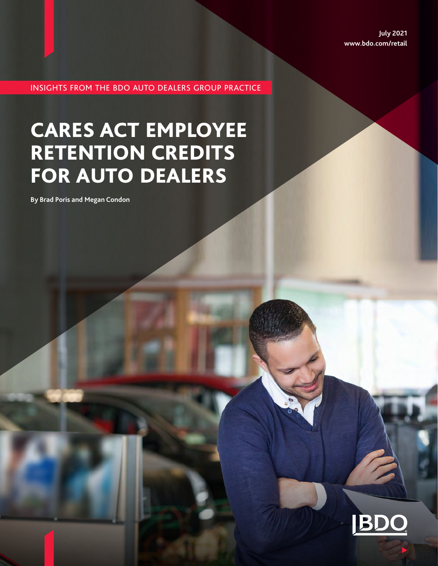**July 2021 www.bdo.com/retail**

INSIGHTS FROM THE BDO AUTO DEALERS GROUP PRACTICE

# CARES ACT EMPLOYEE RETENTION CREDITS FOR AUTO DEALERS

**By Brad Poris and Megan Condon**

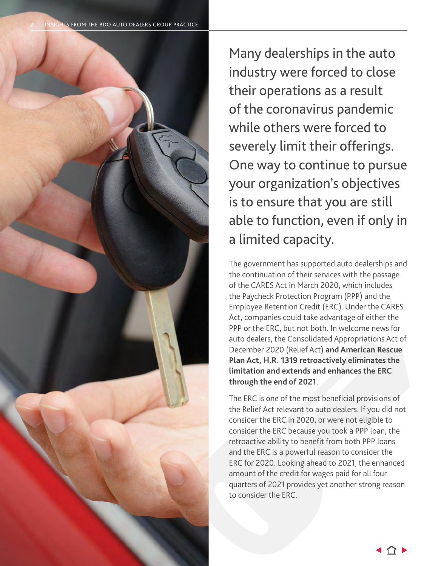

Many dealerships in the auto industry were forced to close their operations as a result of the coronavirus pandemic while others were forced to severely limit their offerings. One way to continue to pursue your organization's objectives is to ensure that you are still able to function, even if only in a limited capacity.

The government has supported auto dealerships and the continuation of their services with the passage of the CARES Act in March 2020, which includes the Paycheck Protection Program (PPP) and the Employee Retention Credit (ERC). Under the CARES Act, companies could take advantage of either the PPP or the ERC, but not both. In welcome news for auto dealers, the Consolidated Appropriations Act of December 2020 (Relief Act) **and American Rescue Plan Act, H.R. 1319 retroactively eliminates the limitation and extends and enhances the ERC through the end of 2021**.

The ERC is one of the most beneficial provisions of the Relief Act relevant to auto dealers. If you did not consider the ERC in 2020, or were not eligible to consider the ERC because you took a PPP loan, the retroactive ability to benefit from both PPP loans and the ERC is a powerful reason to consider the ERC for 2020. Looking ahead to 2021, the enhanced amount of the credit for wages paid for all four quarters of 2021 provides yet another strong reason to consider the ERC.

( 介 )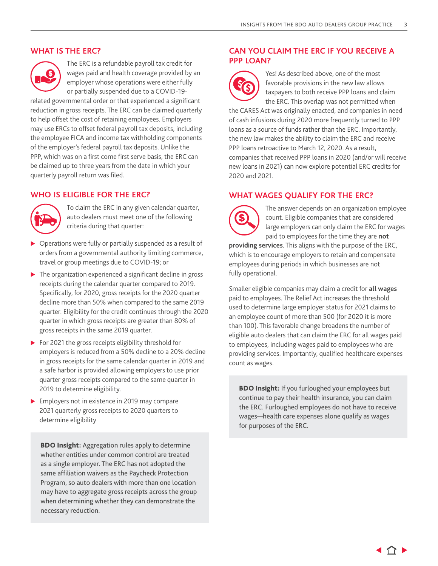#### **WHAT IS THE ERC?**



The ERC is a refundable payroll tax credit for wages paid and health coverage provided by an employer whose operations were either fully or partially suspended due to a COVID-19-

related governmental order or that experienced a significant reduction in gross receipts. The ERC can be claimed quarterly to help offset the cost of retaining employees. Employers may use ERCs to offset federal payroll tax deposits, including the employee FICA and income tax withholding components of the employer's federal payroll tax deposits. Unlike the PPP, which was on a first come first serve basis, the ERC can be claimed up to three years from the date in which your quarterly payroll return was filed.

#### **WHO IS ELIGIBLE FOR THE ERC?**



To claim the ERC in any given calendar quarter, auto dealers must meet one of the following criteria during that quarter:

- $\triangleright$  Operations were fully or partially suspended as a result of orders from a governmental authority limiting commerce, travel or group meetings due to COVID-19; or
- $\blacktriangleright$  The organization experienced a significant decline in gross receipts during the calendar quarter compared to 2019. Specifically, for 2020, gross receipts for the 2020 quarter decline more than 50% when compared to the same 2019 quarter. Eligibility for the credit continues through the 2020 quarter in which gross receipts are greater than 80% of gross receipts in the same 2019 quarter.
- $\triangleright$  For 2021 the gross receipts eligibility threshold for employers is reduced from a 50% decline to a 20% decline in gross receipts for the same calendar quarter in 2019 and a safe harbor is provided allowing employers to use prior quarter gross receipts compared to the same quarter in 2019 to determine eligibility.
- $\blacktriangleright$  Employers not in existence in 2019 may compare 2021 quarterly gross receipts to 2020 quarters to determine eligibility

**BDO Insight:** Aggregation rules apply to determine whether entities under common control are treated as a single employer. The ERC has not adopted the same affiliation waivers as the Paycheck Protection Program, so auto dealers with more than one location may have to aggregate gross receipts across the group when determining whether they can demonstrate the necessary reduction.

### **CAN YOU CLAIM THE ERC IF YOU RECEIVE A PPP LOAN?**



Yes! As described above, one of the most favorable provisions in the new law allows taxpayers to both receive PPP loans and claim the ERC. This overlap was not permitted when

the CARES Act was originally enacted, and companies in need of cash infusions during 2020 more frequently turned to PPP loans as a source of funds rather than the ERC. Importantly, the new law makes the ability to claim the ERC and receive PPP loans retroactive to March 12, 2020. As a result, companies that received PPP loans in 2020 (and/or will receive new loans in 2021) can now explore potential ERC credits for 2020 and 2021.

### **WHAT WAGES QUALIFY FOR THE ERC?**

The answer depends on an organization employee count. Eligible companies that are considered large employers can only claim the ERC for wages paid to employees for the time they are **not** 

**providing services**. This aligns with the purpose of the ERC, which is to encourage employers to retain and compensate employees during periods in which businesses are not fully operational.

Smaller eligible companies may claim a credit for **all wages** paid to employees. The Relief Act increases the threshold used to determine large employer status for 2021 claims to an employee count of more than 500 (for 2020 it is more than 100). This favorable change broadens the number of eligible auto dealers that can claim the ERC for all wages paid to employees, including wages paid to employees who are providing services. Importantly, qualified healthcare expenses count as wages.

**BDO Insight:** If you furloughed your employees but continue to pay their health insurance, you can claim the ERC. Furloughed employees do not have to receive wages—health care expenses alone qualify as wages for purposes of the ERC.

( 行 )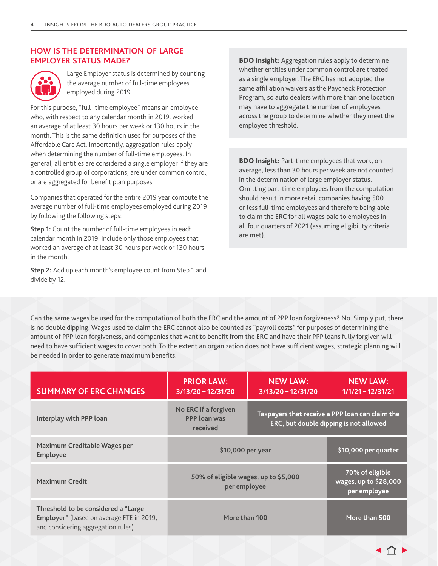#### **HOW IS THE DETERMINATION OF LARGE EMPLOYER STATUS MADE?**



Large Employer status is determined by counting the average number of full-time employees employed during 2019.

For this purpose, "full- time employee" means an employee who, with respect to any calendar month in 2019, worked an average of at least 30 hours per week or 130 hours in the month. This is the same definition used for purposes of the Affordable Care Act. Importantly, aggregation rules apply when determining the number of full-time employees. In general, all entities are considered a single employer if they are a controlled group of corporations, are under common control, or are aggregated for benefit plan purposes.

Companies that operated for the entire 2019 year compute the average number of full-time employees employed during 2019 by following the following steps:

**Step 1:** Count the number of full-time employees in each calendar month in 2019. Include only those employees that worked an average of at least 30 hours per week or 130 hours in the month.

**Step 2:** Add up each month's employee count from Step 1 and divide by 12.

**BDO Insight:** Aggregation rules apply to determine whether entities under common control are treated as a single employer. The ERC has not adopted the same affiliation waivers as the Paycheck Protection Program, so auto dealers with more than one location may have to aggregate the number of employees across the group to determine whether they meet the employee threshold.

**BDO Insight:** Part-time employees that work, on average, less than 30 hours per week are not counted in the determination of large employer status. Omitting part-time employees from the computation should result in more retail companies having 500 or less full-time employees and therefore being able to claim the ERC for all wages paid to employees in all four quarters of 2021 (assuming eligibility criteria are met).

Can the same wages be used for the computation of both the ERC and the amount of PPP loan forgiveness? No. Simply put, there is no double dipping. Wages used to claim the ERC cannot also be counted as "payroll costs" for purposes of determining the amount of PPP loan forgiveness, and companies that want to benefit from the ERC and have their PPP loans fully forgiven will need to have sufficient wages to cover both. To the extent an organization does not have sufficient wages, strategic planning will be needed in order to generate maximum benefits.

| <b>SUMMARY OF ERC CHANGES</b>                                                                                         | <b>PRIOR LAW:</b><br>$3/13/20 - 12/31/20$               | <b>NEW LAW:</b><br>$3/13/20 - 12/31/20$                                                          | <b>NEW LAW:</b><br>$1/1/21 - 12/31/21$                   |
|-----------------------------------------------------------------------------------------------------------------------|---------------------------------------------------------|--------------------------------------------------------------------------------------------------|----------------------------------------------------------|
| Interplay with PPP loan                                                                                               | No ERC if a forgiven<br><b>PPP</b> loan was<br>received | Taxpayers that receive a PPP loan can claim the<br><b>ERC, but double dipping is not allowed</b> |                                                          |
| Maximum Creditable Wages per<br><b>Employee</b>                                                                       | \$10,000 per year                                       |                                                                                                  | \$10,000 per quarter                                     |
| <b>Maximum Credit</b>                                                                                                 | 50% of eligible wages, up to \$5,000<br>per employee    |                                                                                                  | 70% of eligible<br>wages, up to \$28,000<br>per employee |
| Threshold to be considered a "Large<br>Employer" (based on average FTE in 2019,<br>and considering aggregation rules) | More than 100                                           |                                                                                                  | More than 500                                            |

◀ 仚 !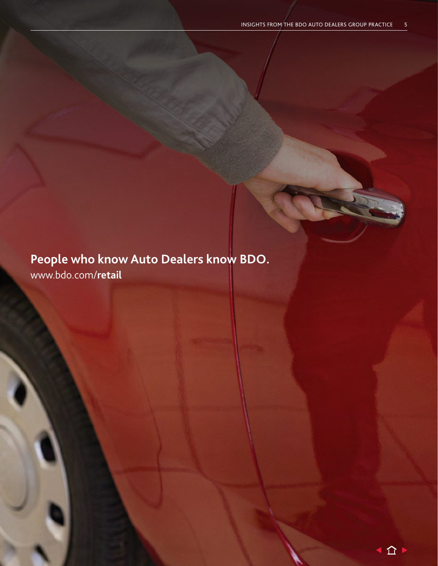# **People who know Auto Dealers know BDO.** www.bdo.com/**retail**